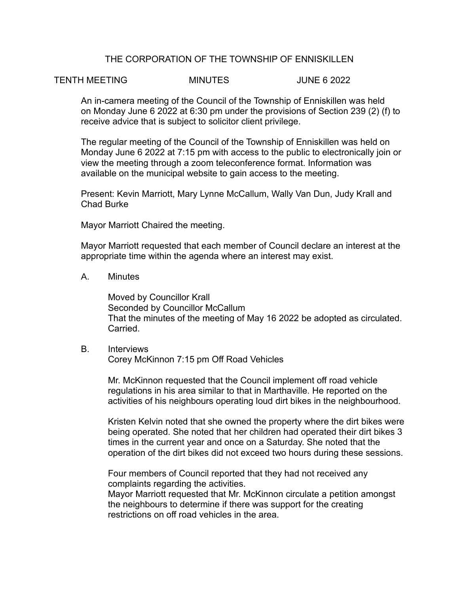# THE CORPORATION OF THE TOWNSHIP OF ENNISKILLEN

### TENTH MEETING MINUTES JUNE 6 2022

An in-camera meeting of the Council of the Township of Enniskillen was held on Monday June 6 2022 at 6:30 pm under the provisions of Section 239 (2) (f) to receive advice that is subject to solicitor client privilege.

The regular meeting of the Council of the Township of Enniskillen was held on Monday June 6 2022 at 7:15 pm with access to the public to electronically join or view the meeting through a zoom teleconference format. Information was available on the municipal website to gain access to the meeting.

Present: Kevin Marriott, Mary Lynne McCallum, Wally Van Dun, Judy Krall and Chad Burke

Mayor Marriott Chaired the meeting.

Mayor Marriott requested that each member of Council declare an interest at the appropriate time within the agenda where an interest may exist.

A. Minutes

Moved by Councillor Krall Seconded by Councillor McCallum That the minutes of the meeting of May 16 2022 be adopted as circulated. Carried.

B. Interviews

Corey McKinnon 7:15 pm Off Road Vehicles

Mr. McKinnon requested that the Council implement off road vehicle regulations in his area similar to that in Marthaville. He reported on the activities of his neighbours operating loud dirt bikes in the neighbourhood.

Kristen Kelvin noted that she owned the property where the dirt bikes were being operated. She noted that her children had operated their dirt bikes 3 times in the current year and once on a Saturday. She noted that the operation of the dirt bikes did not exceed two hours during these sessions.

Four members of Council reported that they had not received any complaints regarding the activities.

Mayor Marriott requested that Mr. McKinnon circulate a petition amongst the neighbours to determine if there was support for the creating restrictions on off road vehicles in the area.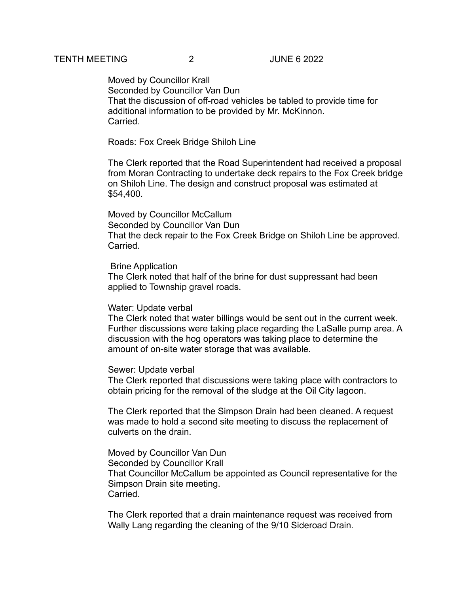Moved by Councillor Krall Seconded by Councillor Van Dun That the discussion of off-road vehicles be tabled to provide time for additional information to be provided by Mr. McKinnon. Carried.

Roads: Fox Creek Bridge Shiloh Line

The Clerk reported that the Road Superintendent had received a proposal from Moran Contracting to undertake deck repairs to the Fox Creek bridge on Shiloh Line. The design and construct proposal was estimated at \$54,400.

Moved by Councillor McCallum Seconded by Councillor Van Dun That the deck repair to the Fox Creek Bridge on Shiloh Line be approved. **Carried** 

#### Brine Application

The Clerk noted that half of the brine for dust suppressant had been applied to Township gravel roads.

## Water: Update verbal

The Clerk noted that water billings would be sent out in the current week. Further discussions were taking place regarding the LaSalle pump area. A discussion with the hog operators was taking place to determine the amount of on-site water storage that was available.

#### Sewer: Update verbal

The Clerk reported that discussions were taking place with contractors to obtain pricing for the removal of the sludge at the Oil City lagoon.

The Clerk reported that the Simpson Drain had been cleaned. A request was made to hold a second site meeting to discuss the replacement of culverts on the drain.

Moved by Councillor Van Dun Seconded by Councillor Krall That Councillor McCallum be appointed as Council representative for the Simpson Drain site meeting. Carried.

The Clerk reported that a drain maintenance request was received from Wally Lang regarding the cleaning of the 9/10 Sideroad Drain.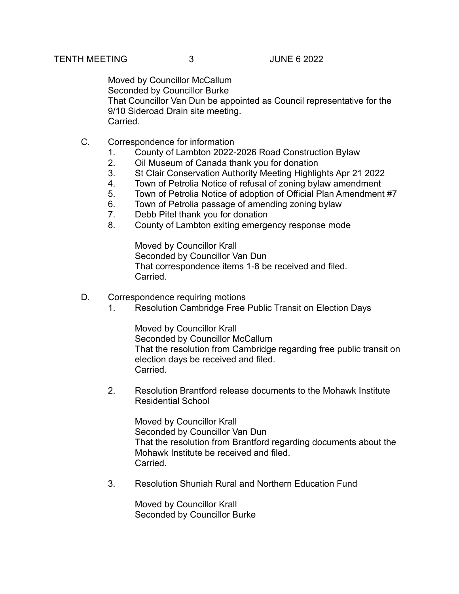Moved by Councillor McCallum Seconded by Councillor Burke That Councillor Van Dun be appointed as Council representative for the 9/10 Sideroad Drain site meeting. **Carried** 

- C. Correspondence for information
	- 1. County of Lambton 2022-2026 Road Construction Bylaw
	- 2. Oil Museum of Canada thank you for donation
	- 3. St Clair Conservation Authority Meeting Highlights Apr 21 2022
	- 4. Town of Petrolia Notice of refusal of zoning bylaw amendment
	- 5. Town of Petrolia Notice of adoption of Official Plan Amendment #7
	- 6. Town of Petrolia passage of amending zoning bylaw
	- 7. Debb Pitel thank you for donation
	- 8. County of Lambton exiting emergency response mode

Moved by Councillor Krall Seconded by Councillor Van Dun That correspondence items 1-8 be received and filed. Carried.

- D. Correspondence requiring motions
	- 1. Resolution Cambridge Free Public Transit on Election Days

Moved by Councillor Krall Seconded by Councillor McCallum That the resolution from Cambridge regarding free public transit on election days be received and filed. Carried.

2. Resolution Brantford release documents to the Mohawk Institute Residential School

Moved by Councillor Krall Seconded by Councillor Van Dun That the resolution from Brantford regarding documents about the Mohawk Institute be received and filed. Carried.

3. Resolution Shuniah Rural and Northern Education Fund

Moved by Councillor Krall Seconded by Councillor Burke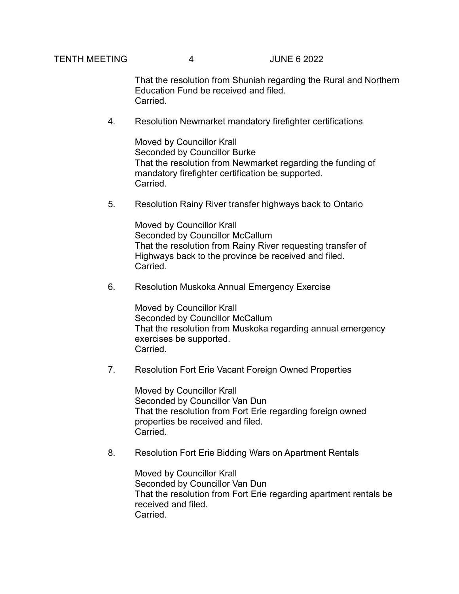TENTH MEETING 4 JUNE 6 2022

That the resolution from Shuniah regarding the Rural and Northern Education Fund be received and filed. **Carried** 

4. Resolution Newmarket mandatory firefighter certifications

Moved by Councillor Krall Seconded by Councillor Burke That the resolution from Newmarket regarding the funding of mandatory firefighter certification be supported. Carried.

5. Resolution Rainy River transfer highways back to Ontario

Moved by Councillor Krall Seconded by Councillor McCallum That the resolution from Rainy River requesting transfer of Highways back to the province be received and filed. Carried.

6. Resolution Muskoka Annual Emergency Exercise

Moved by Councillor Krall Seconded by Councillor McCallum That the resolution from Muskoka regarding annual emergency exercises be supported. Carried.

7. Resolution Fort Erie Vacant Foreign Owned Properties

Moved by Councillor Krall Seconded by Councillor Van Dun That the resolution from Fort Erie regarding foreign owned properties be received and filed. Carried.

8. Resolution Fort Erie Bidding Wars on Apartment Rentals

Moved by Councillor Krall Seconded by Councillor Van Dun That the resolution from Fort Erie regarding apartment rentals be received and filed. Carried.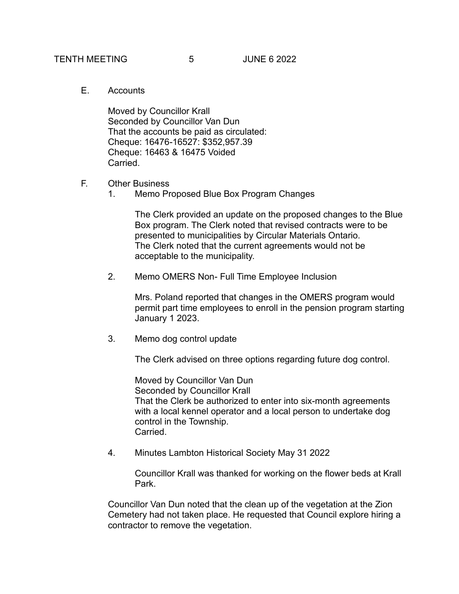E. Accounts

Moved by Councillor Krall Seconded by Councillor Van Dun That the accounts be paid as circulated: Cheque: 16476-16527: \$352,957.39 Cheque: 16463 & 16475 Voided **Carried** 

- F. Other Business
	- 1. Memo Proposed Blue Box Program Changes

The Clerk provided an update on the proposed changes to the Blue Box program. The Clerk noted that revised contracts were to be presented to municipalities by Circular Materials Ontario. The Clerk noted that the current agreements would not be acceptable to the municipality.

2. Memo OMERS Non- Full Time Employee Inclusion

Mrs. Poland reported that changes in the OMERS program would permit part time employees to enroll in the pension program starting January 1 2023.

3. Memo dog control update

The Clerk advised on three options regarding future dog control.

Moved by Councillor Van Dun Seconded by Councillor Krall That the Clerk be authorized to enter into six-month agreements with a local kennel operator and a local person to undertake dog control in the Township. Carried.

4. Minutes Lambton Historical Society May 31 2022

Councillor Krall was thanked for working on the flower beds at Krall Park.

Councillor Van Dun noted that the clean up of the vegetation at the Zion Cemetery had not taken place. He requested that Council explore hiring a contractor to remove the vegetation.